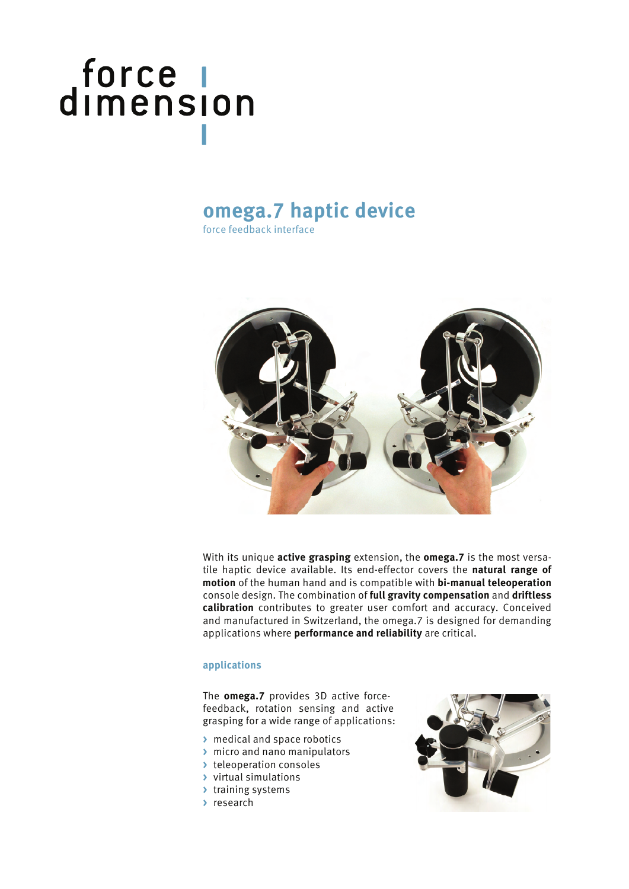# force |<br>dimension

### **omega.7 haptic device**

force feedback interface



With its unique **active grasping** extension, the **omega.7** is the most versatile haptic device available. Its end-effector covers the **natural range of motion** of the human hand and is compatible with **bi-manual teleoperation** console design. The combination of **full gravity compensation** and **driftless calibration** contributes to greater user comfort and accuracy. Conceived and manufactured in Switzerland, the omega.7 is designed for demanding applications where **performance and reliability** are critical.

#### **applications**

The **omega.7** provides 3D active forcefeedback, rotation sensing and active grasping for a wide range of applications:

- **>** medical and space robotics
- **>** micro and nano manipulators
- **>** teleoperation consoles
- **>** virtual simulations
- **>** training systems
- **>** research